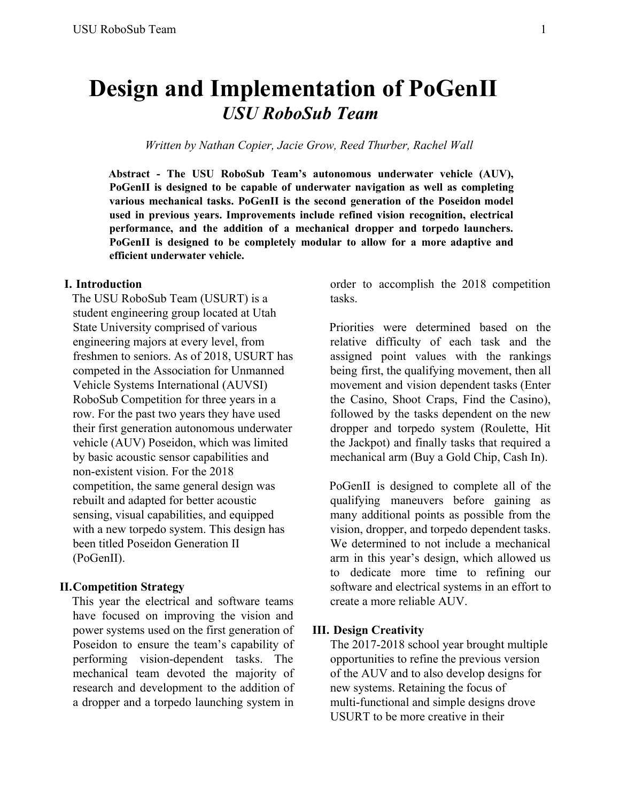# **Design and Implementation of PoGenII** *USU RoboSub Team*

*Written by Nathan Copier, Jacie Grow, Reed Thurber, Rachel Wall*

**Abstract - The USU RoboSub Team's autonomous underwater vehicle (AUV), PoGenII is designed to be capable of underwater navigation as well as completing various mechanical tasks. PoGenII is the second generation of the Poseidon model used in previous years. Improvements include refined vision recognition, electrical performance, and the addition of a mechanical dropper and torpedo launchers. PoGenII is designed to be completely modular to allow for a more adaptive and efficient underwater vehicle.**

# **I. Introduction**

The USU RoboSub Team (USURT) is a student engineering group located at Utah State University comprised of various engineering majors at every level, from freshmen to seniors. As of 2018, USURT has competed in the Association for Unmanned Vehicle Systems International (AUVSI) RoboSub Competition for three years in a row. For the past two years they have used their first generation autonomous underwater vehicle (AUV) Poseidon, which was limited by basic acoustic sensor capabilities and non-existent vision. For the 2018 competition, the same general design was rebuilt and adapted for better acoustic sensing, visual capabilities, and equipped with a new torpedo system. This design has been titled Poseidon Generation II (PoGenII).

#### **II.Competition Strategy**

This year the electrical and software teams have focused on improving the vision and power systems used on the first generation of Poseidon to ensure the team's capability of performing vision-dependent tasks. The mechanical team devoted the majority of research and development to the addition of a dropper and a torpedo launching system in order to accomplish the 2018 competition tasks.

Priorities were determined based on the relative difficulty of each task and the assigned point values with the rankings being first, the qualifying movement, then all movement and vision dependent tasks (Enter the Casino, Shoot Craps, Find the Casino), followed by the tasks dependent on the new dropper and torpedo system (Roulette, Hit the Jackpot) and finally tasks that required a mechanical arm (Buy a Gold Chip, Cash In).

PoGenII is designed to complete all of the qualifying maneuvers before gaining as many additional points as possible from the vision, dropper, and torpedo dependent tasks. We determined to not include a mechanical arm in this year's design, which allowed us to dedicate more time to refining our software and electrical systems in an effort to create a more reliable AUV.

#### **III. Design Creativity**

The 2017-2018 school year brought multiple opportunities to refine the previous version of the AUV and to also develop designs for new systems. Retaining the focus of multi-functional and simple designs drove USURT to be more creative in their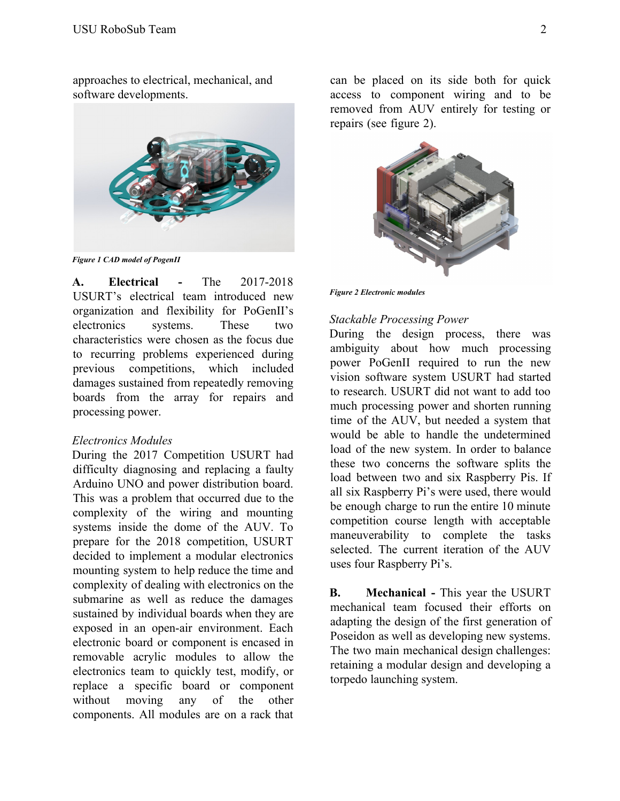approaches to electrical, mechanical, and software developments.



*Figure 1 CAD model of PogenII*

**A. Electrical -** The 2017-2018 USURT's electrical team introduced new organization and flexibility for PoGenII's electronics systems. These two characteristics were chosen as the focus due to recurring problems experienced during previous competitions, which included damages sustained from repeatedly removing boards from the array for repairs and processing power.

#### *Electronics Modules*

During the 2017 Competition USURT had difficulty diagnosing and replacing a faulty Arduino UNO and power distribution board. This was a problem that occurred due to the complexity of the wiring and mounting systems inside the dome of the AUV. To prepare for the 2018 competition, USURT decided to implement a modular electronics mounting system to help reduce the time and complexity of dealing with electronics on the submarine as well as reduce the damages sustained by individual boards when they are exposed in an open-air environment. Each electronic board or component is encased in removable acrylic modules to allow the electronics team to quickly test, modify, or replace a specific board or component without moving any of the other components. All modules are on a rack that can be placed on its side both for quick access to component wiring and to be removed from AUV entirely for testing or repairs (see figure 2).



*Figure 2 Electronic modules*

### *Stackable Processing Power*

During the design process, there was ambiguity about how much processing power PoGenII required to run the new vision software system USURT had started to research. USURT did not want to add too much processing power and shorten running time of the AUV, but needed a system that would be able to handle the undetermined load of the new system. In order to balance these two concerns the software splits the load between two and six Raspberry Pis. If all six Raspberry Pi's were used, there would be enough charge to run the entire 10 minute competition course length with acceptable maneuverability to complete the tasks selected. The current iteration of the AUV uses four Raspberry Pi's.

**B. Mechanical -** This year the USURT mechanical team focused their efforts on adapting the design of the first generation of Poseidon as well as developing new systems. The two main mechanical design challenges: retaining a modular design and developing a torpedo launching system.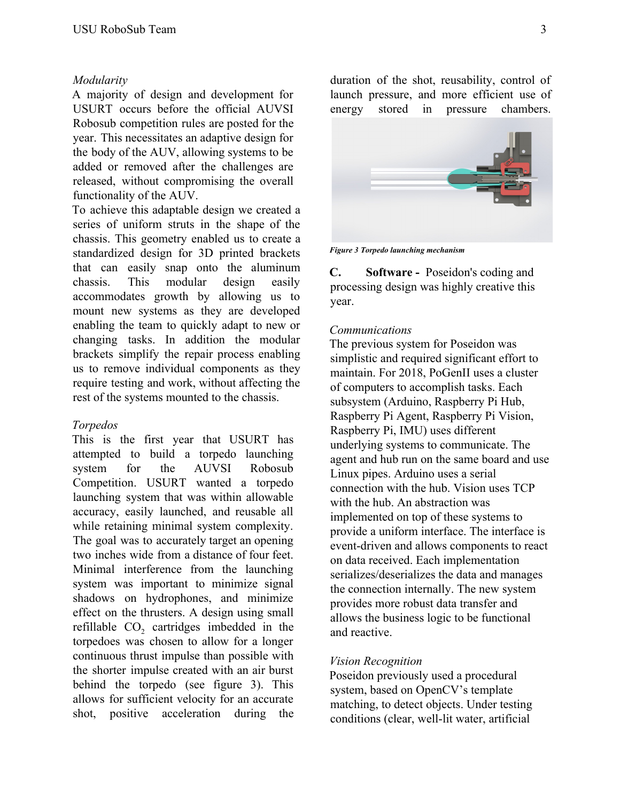## *Modularity*

A majority of design and development for USURT occurs before the official AUVSI Robosub competition rules are posted for the year. This necessitates an adaptive design for the body of the AUV, allowing systems to be added or removed after the challenges are released, without compromising the overall functionality of the AUV.

To achieve this adaptable design we created a series of uniform struts in the shape of the chassis. This geometry enabled us to create a standardized design for 3D printed brackets that can easily snap onto the aluminum chassis. This modular design easily accommodates growth by allowing us to mount new systems as they are developed enabling the team to quickly adapt to new or changing tasks. In addition the modular brackets simplify the repair process enabling us to remove individual components as they require testing and work, without affecting the rest of the systems mounted to the chassis.

### *Torpedos*

This is the first year that USURT has attempted to build a torpedo launching system for the AUVSI Robosub Competition. USURT wanted a torpedo launching system that was within allowable accuracy, easily launched, and reusable all while retaining minimal system complexity. The goal was to accurately target an opening two inches wide from a distance of four feet. Minimal interference from the launching system was important to minimize signal shadows on hydrophones, and minimize effect on the thrusters. A design using small refillable CO<sub>2</sub> cartridges imbedded in the torpedoes was chosen to allow for a longer continuous thrust impulse than possible with the shorter impulse created with an air burst behind the torpedo (see figure 3). This allows for sufficient velocity for an accurate shot, positive acceleration during the duration of the shot, reusability, control of launch pressure, and more efficient use of energy stored in pressure chambers.



*Figure 3 Torpedo launching mechanism*

**C. Software -** Poseidon's coding and processing design was highly creative this year.

#### *Communications*

The previous system for Poseidon was simplistic and required significant effort to maintain. For 2018, PoGenII uses a cluster of computers to accomplish tasks. Each subsystem (Arduino, Raspberry Pi Hub, Raspberry Pi Agent, Raspberry Pi Vision, Raspberry Pi, IMU) uses different underlying systems to communicate. The agent and hub run on the same board and use Linux pipes. Arduino uses a serial connection with the hub. Vision uses TCP with the hub. An abstraction was implemented on top of these systems to provide a uniform interface. The interface is event-driven and allows components to react on data received. Each implementation serializes/deserializes the data and manages the connection internally. The new system provides more robust data transfer and allows the business logic to be functional and reactive.

#### *Vision Recognition*

Poseidon previously used a procedural system, based on OpenCV's template matching, to detect objects. Under testing conditions (clear, well-lit water, artificial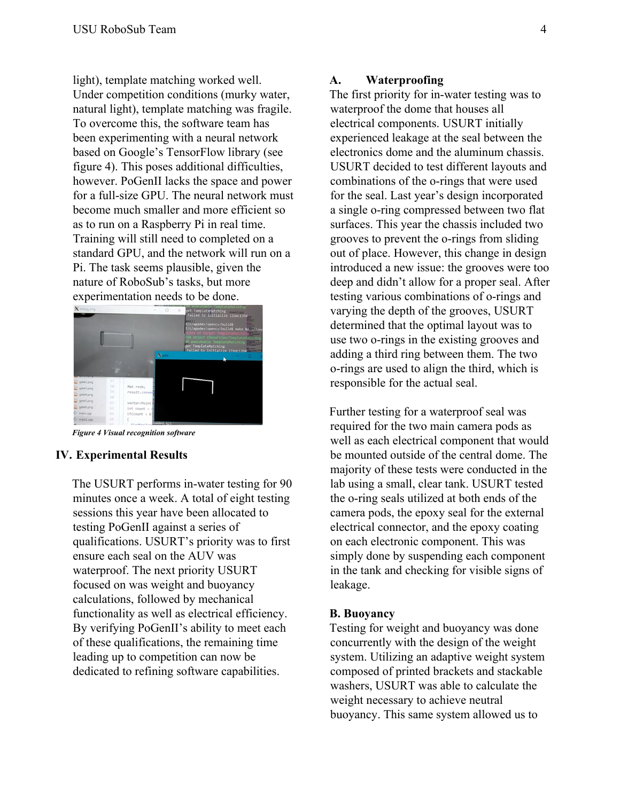light), template matching worked well. Under competition conditions (murky water, natural light), template matching was fragile. To overcome this, the software team has been experimenting with a neural network based on Google's TensorFlow library (see figure 4). This poses additional difficulties, however. PoGenII lacks the space and power for a full-size GPU. The neural network must become much smaller and more efficient so as to run on a Raspberry Pi in real time. Training will still need to completed on a standard GPU, and the network will run on a Pi. The task seems plausible, given the nature of RoboSub's tasks, but more experimentation needs to be done.



*Figure 4 Visual recognition software*

# **IV. Experimental Results**

The USURT performs in-water testing for 90 minutes once a week. A total of eight testing sessions this year have been allocated to testing PoGenII against a series of qualifications. USURT's priority was to first ensure each seal on the AUV was waterproof. The next priority USURT focused on was weight and buoyancy calculations, followed by mechanical functionality as well as electrical efficiency. By verifying PoGenII's ability to meet each of these qualifications, the remaining time leading up to competition can now be dedicated to refining software capabilities.

#### **A. Waterproofing**

The first priority for in-water testing was to waterproof the dome that houses all electrical components. USURT initially experienced leakage at the seal between the electronics dome and the aluminum chassis. USURT decided to test different layouts and combinations of the o-rings that were used for the seal. Last year's design incorporated a single o-ring compressed between two flat surfaces. This year the chassis included two grooves to prevent the o-rings from sliding out of place. However, this change in design introduced a new issue: the grooves were too deep and didn't allow for a proper seal. After testing various combinations of o-rings and varying the depth of the grooves, USURT determined that the optimal layout was to use two o-rings in the existing grooves and adding a third ring between them. The two o-rings are used to align the third, which is responsible for the actual seal.

Further testing for a waterproof seal was required for the two main camera pods as well as each electrical component that would be mounted outside of the central dome. The majority of these tests were conducted in the lab using a small, clear tank. USURT tested the o-ring seals utilized at both ends of the camera pods, the epoxy seal for the external electrical connector, and the epoxy coating on each electronic component. This was simply done by suspending each component in the tank and checking for visible signs of leakage.

### **B. Buoyancy**

Testing for weight and buoyancy was done concurrently with the design of the weight system. Utilizing an adaptive weight system composed of printed brackets and stackable washers, USURT was able to calculate the weight necessary to achieve neutral buoyancy. This same system allowed us to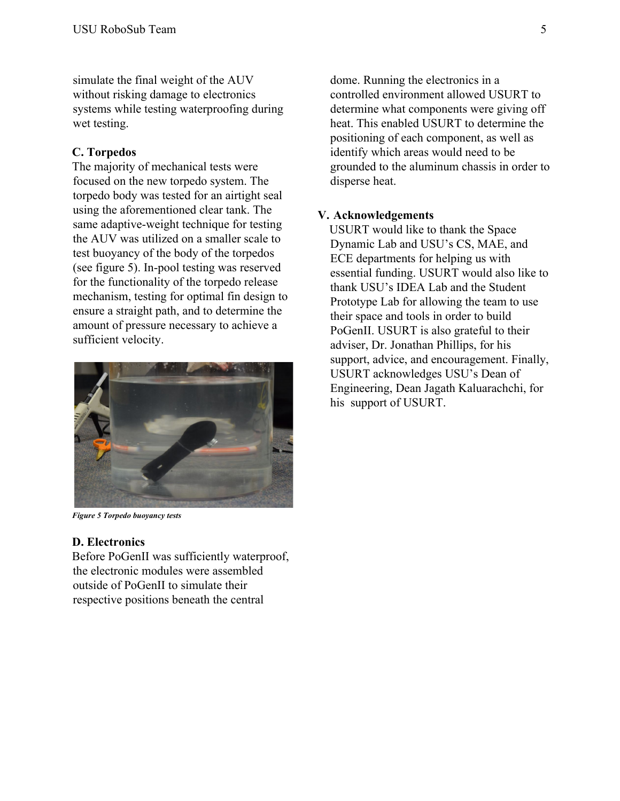simulate the final weight of the AUV without risking damage to electronics systems while testing waterproofing during wet testing.

# **C. Torpedos**

The majority of mechanical tests were focused on the new torpedo system. The torpedo body was tested for an airtight seal using the aforementioned clear tank. The same adaptive-weight technique for testing the AUV was utilized on a smaller scale to test buoyancy of the body of the torpedos (see figure 5). In-pool testing was reserved for the functionality of the torpedo release mechanism, testing for optimal fin design to ensure a straight path, and to determine the amount of pressure necessary to achieve a sufficient velocity.



*Figure 5 Torpedo buoyancy tests*

# **D. Electronics**

Before PoGenII was sufficiently waterproof, the electronic modules were assembled outside of PoGenII to simulate their respective positions beneath the central

dome. Running the electronics in a controlled environment allowed USURT to determine what components were giving off heat. This enabled USURT to determine the positioning of each component, as well as identify which areas would need to be grounded to the aluminum chassis in order to disperse heat.

# **V. Acknowledgements**

USURT would like to thank the Space Dynamic Lab and USU's CS, MAE, and ECE departments for helping us with essential funding. USURT would also like to thank USU's IDEA Lab and the Student Prototype Lab for allowing the team to use their space and tools in order to build PoGenII. USURT is also grateful to their adviser, Dr. Jonathan Phillips, for his support, advice, and encouragement. Finally, USURT acknowledges USU's Dean of Engineering, Dean Jagath Kaluarachchi, for his support of USURT.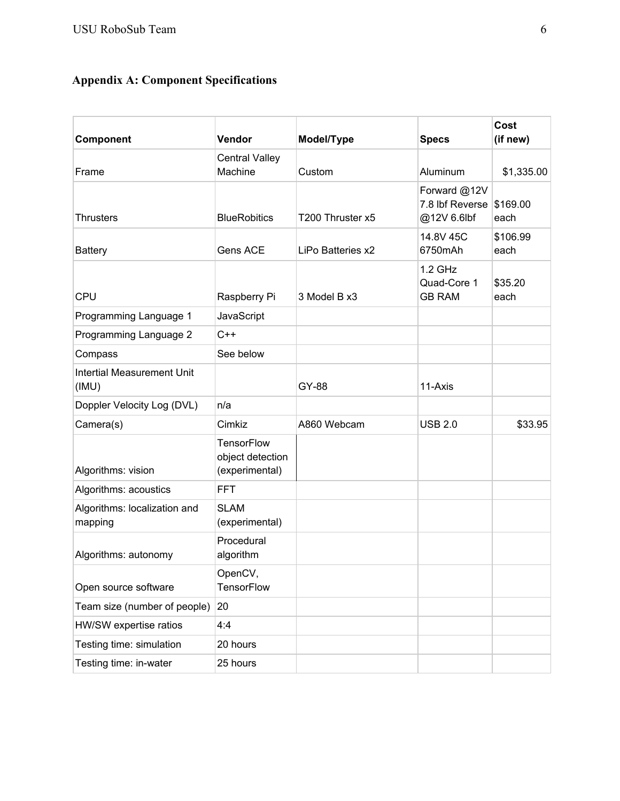# **Appendix A: Component Specifications**

| Component                                  | Vendor                                                  | Model/Type        | <b>Specs</b>                                   | Cost<br>(if new) |
|--------------------------------------------|---------------------------------------------------------|-------------------|------------------------------------------------|------------------|
| Frame                                      | <b>Central Valley</b><br>Machine                        | Custom            | Aluminum                                       | \$1,335.00       |
| <b>Thrusters</b>                           | <b>BlueRobitics</b>                                     | T200 Thruster x5  | Forward @12V<br>7.8 lbf Reverse<br>@12V 6.6lbf | \$169.00<br>each |
| <b>Battery</b>                             | Gens ACE                                                | LiPo Batteries x2 | 14.8V 45C<br>6750mAh                           | \$106.99<br>each |
| <b>CPU</b>                                 | Raspberry Pi                                            | 3 Model B x 3     | $1.2$ GHz<br>Quad-Core 1<br><b>GB RAM</b>      | \$35.20<br>each  |
| Programming Language 1                     | JavaScript                                              |                   |                                                |                  |
| Programming Language 2                     | $C++$                                                   |                   |                                                |                  |
| Compass                                    | See below                                               |                   |                                                |                  |
| <b>Intertial Measurement Unit</b><br>(IMU) |                                                         | GY-88             | 11-Axis                                        |                  |
| Doppler Velocity Log (DVL)                 | n/a                                                     |                   |                                                |                  |
| Camera(s)                                  | Cimkiz                                                  | A860 Webcam       | <b>USB 2.0</b>                                 | \$33.95          |
| Algorithms: vision                         | <b>TensorFlow</b><br>object detection<br>(experimental) |                   |                                                |                  |
| Algorithms: acoustics                      | <b>FFT</b>                                              |                   |                                                |                  |
| Algorithms: localization and<br>mapping    | <b>SLAM</b><br>(experimental)                           |                   |                                                |                  |
| Algorithms: autonomy                       | Procedural<br>algorithm                                 |                   |                                                |                  |
| Open source software                       | OpenCV,<br><b>TensorFlow</b>                            |                   |                                                |                  |
| Team size (number of people)               | 20                                                      |                   |                                                |                  |
| HW/SW expertise ratios                     | 4:4                                                     |                   |                                                |                  |
| Testing time: simulation                   | 20 hours                                                |                   |                                                |                  |
| Testing time: in-water                     | 25 hours                                                |                   |                                                |                  |